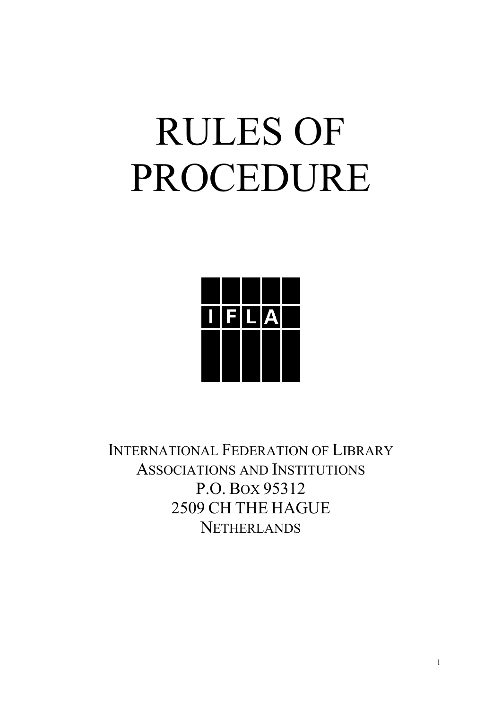# RULES OF PROCEDURE



INTERNATIONAL FEDERATION OF LIBRARY ASSOCIATIONS AND INSTITUTIONS P.O. BOX 95312 2509 CH THE HAGUE **NETHERLANDS**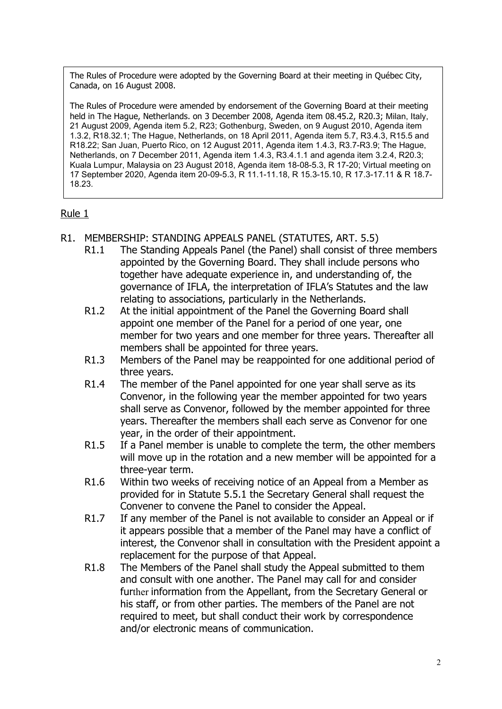The Rules of Procedure were adopted by the Governing Board at their meeting in Québec City, Canada, on 16 August 2008.

The Rules of Procedure were amended by endorsement of the Governing Board at their meeting held in The Hague, Netherlands. on 3 December 2008, Agenda item 08.45.2, R20.3; Milan, Italy, 21 August 2009, Agenda item 5.2, R23; Gothenburg, Sweden, on 9 August 2010, Agenda item 1.3.2, R18.32.1; The Hague, Netherlands, on 18 April 2011, Agenda item 5.7, R3.4.3, R15.5 and R18.22; San Juan, Puerto Rico, on 12 August 2011, Agenda item 1.4.3, R3.7-R3.9; The Hague, Netherlands, on 7 December 2011, Agenda item 1.4.3, R3.4.1.1 and agenda item 3.2.4, R20.3; Kuala Lumpur, Malaysia on 23 August 2018, Agenda item 18-08-5.3, R 17-20; Virtual meeting on 17 September 2020, Agenda item 20-09-5.3, R 11.1-11.18, R 15.3-15.10, R 17.3-17.11 & R 18.7- 18.23.

- R1. MEMBERSHIP: STANDING APPEALS PANEL (STATUTES, ART. 5.5)
	- R1.1 The Standing Appeals Panel (the Panel) shall consist of three members appointed by the Governing Board. They shall include persons who together have adequate experience in, and understanding of, the governance of IFLA, the interpretation of IFLA's Statutes and the law relating to associations, particularly in the Netherlands.
	- R1.2 At the initial appointment of the Panel the Governing Board shall appoint one member of the Panel for a period of one year, one member for two years and one member for three years. Thereafter all members shall be appointed for three years.
	- R1.3 Members of the Panel may be reappointed for one additional period of three years.
	- R1.4 The member of the Panel appointed for one year shall serve as its Convenor, in the following year the member appointed for two years shall serve as Convenor, followed by the member appointed for three years. Thereafter the members shall each serve as Convenor for one year, in the order of their appointment.
	- R1.5 If a Panel member is unable to complete the term, the other members will move up in the rotation and a new member will be appointed for a three-year term.
	- R1.6 Within two weeks of receiving notice of an Appeal from a Member as provided for in Statute 5.5.1 the Secretary General shall request the Convener to convene the Panel to consider the Appeal.
	- R1.7 If any member of the Panel is not available to consider an Appeal or if it appears possible that a member of the Panel may have a conflict of interest, the Convenor shall in consultation with the President appoint a replacement for the purpose of that Appeal.
	- R1.8 The Members of the Panel shall study the Appeal submitted to them and consult with one another. The Panel may call for and consider further information from the Appellant, from the Secretary General or his staff, or from other parties. The members of the Panel are not required to meet, but shall conduct their work by correspondence and/or electronic means of communication.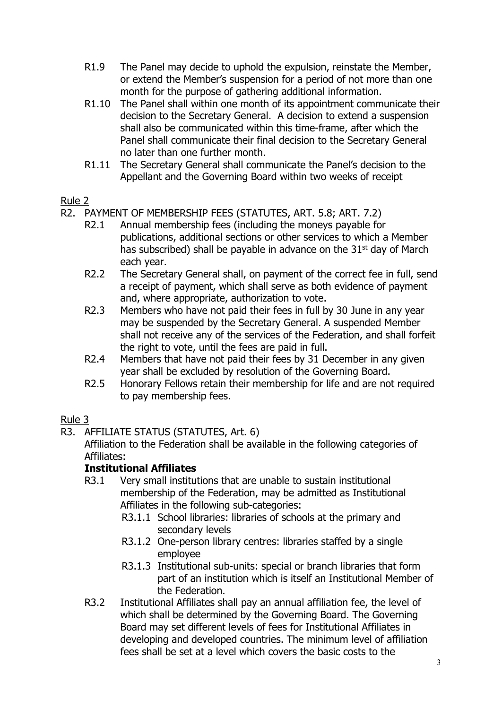- R1.9 The Panel may decide to uphold the expulsion, reinstate the Member, or extend the Member's suspension for a period of not more than one month for the purpose of gathering additional information.
- R1.10 The Panel shall within one month of its appointment communicate their decision to the Secretary General. A decision to extend a suspension shall also be communicated within this time-frame, after which the Panel shall communicate their final decision to the Secretary General no later than one further month.
- R1.11 The Secretary General shall communicate the Panel's decision to the Appellant and the Governing Board within two weeks of receipt

- R2. PAYMENT OF MEMBERSHIP FEES (STATUTES, ART. 5.8; ART. 7.2)
	- R2.1 Annual membership fees (including the moneys payable for publications, additional sections or other services to which a Member has subscribed) shall be payable in advance on the  $31<sup>st</sup>$  day of March each year.
	- R2.2 The Secretary General shall, on payment of the correct fee in full, send a receipt of payment, which shall serve as both evidence of payment and, where appropriate, authorization to vote.
	- R2.3 Members who have not paid their fees in full by 30 June in any year may be suspended by the Secretary General. A suspended Member shall not receive any of the services of the Federation, and shall forfeit the right to vote, until the fees are paid in full.
	- R2.4 Members that have not paid their fees by 31 December in any given year shall be excluded by resolution of the Governing Board.
	- R2.5 Honorary Fellows retain their membership for life and are not required to pay membership fees.

# Rule 3

R3. AFFILIATE STATUS (STATUTES, Art. 6)

Affiliation to the Federation shall be available in the following categories of Affiliates:

# **Institutional Affiliates**

- R3.1 Very small institutions that are unable to sustain institutional membership of the Federation, may be admitted as Institutional Affiliates in the following sub-categories:
	- R3.1.1 School libraries: libraries of schools at the primary and secondary levels
	- R3.1.2 One-person library centres: libraries staffed by a single employee
	- R3.1.3 Institutional sub-units: special or branch libraries that form part of an institution which is itself an Institutional Member of the Federation.
- R3.2 Institutional Affiliates shall pay an annual affiliation fee, the level of which shall be determined by the Governing Board. The Governing Board may set different levels of fees for Institutional Affiliates in developing and developed countries. The minimum level of affiliation fees shall be set at a level which covers the basic costs to the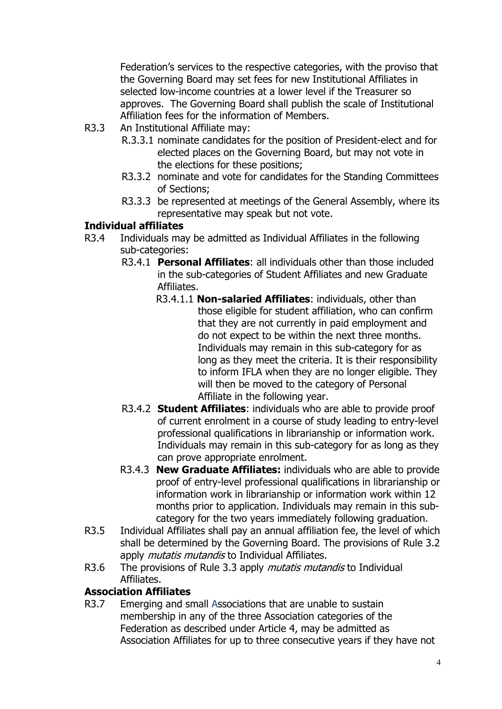Federation's services to the respective categories, with the proviso that the Governing Board may set fees for new Institutional Affiliates in selected low-income countries at a lower level if the Treasurer so approves. The Governing Board shall publish the scale of Institutional Affiliation fees for the information of Members.

- R3.3 An Institutional Affiliate may:
	- R.3.3.1 nominate candidates for the position of President-elect and for elected places on the Governing Board, but may not vote in the elections for these positions;
	- R3.3.2 nominate and vote for candidates for the Standing Committees of Sections;
	- R3.3.3 be represented at meetings of the General Assembly, where its representative may speak but not vote.

# **Individual affiliates**

- R3.4 Individuals may be admitted as Individual Affiliates in the following sub-categories:
	- R3.4.1 **Personal Affiliates**: all individuals other than those included in the sub-categories of Student Affiliates and new Graduate Affiliates.
		- R3.4.1.1 **Non-salaried Affiliates**: individuals, other than those eligible for student affiliation, who can confirm that they are not currently in paid employment and do not expect to be within the next three months. Individuals may remain in this sub-category for as long as they meet the criteria. It is their responsibility to inform IFLA when they are no longer eligible. They will then be moved to the category of Personal Affiliate in the following year.
	- R3.4.2 **Student Affiliates**: individuals who are able to provide proof of current enrolment in a course of study leading to entry-level professional qualifications in librarianship or information work. Individuals may remain in this sub-category for as long as they can prove appropriate enrolment.
	- R3.4.3 **New Graduate Affiliates:** individuals who are able to provide proof of entry-level professional qualifications in librarianship or information work in librarianship or information work within 12 months prior to application. Individuals may remain in this subcategory for the two years immediately following graduation.
- R3.5 Individual Affiliates shall pay an annual affiliation fee, the level of which shall be determined by the Governing Board. The provisions of Rule 3.2 apply *mutatis mutandis* to Individual Affiliates.
- R3.6 The provisions of Rule 3.3 apply *mutatis mutandis* to Individual Affiliates.

## **Association Affiliates**

R3.7 Emerging and small Associations that are unable to sustain membership in any of the three Association categories of the Federation as described under Article 4, may be admitted as Association Affiliates for up to three consecutive years if they have not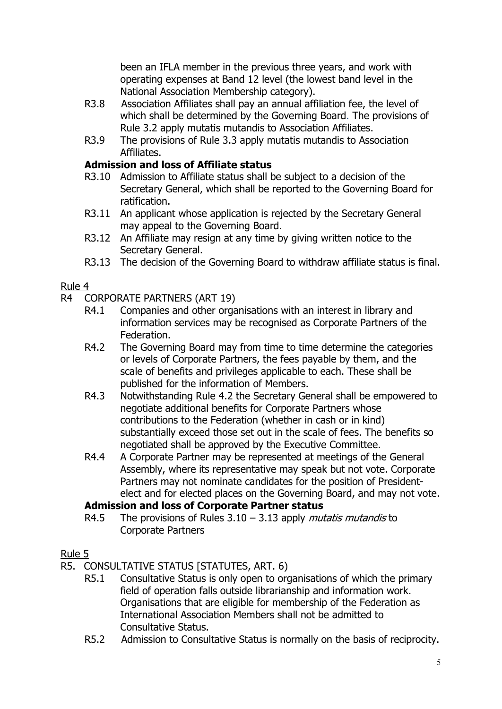been an IFLA member in the previous three years, and work with operating expenses at Band 12 level (the lowest band level in the National Association Membership category).

- R3.8 Association Affiliates shall pay an annual affiliation fee, the level of which shall be determined by the Governing Board. The provisions of Rule 3.2 apply mutatis mutandis to Association Affiliates.
- R3.9 The provisions of Rule 3.3 apply mutatis mutandis to Association Affiliates.

# **Admission and loss of Affiliate status**

- R3.10 Admission to Affiliate status shall be subject to a decision of the Secretary General, which shall be reported to the Governing Board for ratification.
- R3.11 An applicant whose application is rejected by the Secretary General may appeal to the Governing Board.
- R3.12 An Affiliate may resign at any time by giving written notice to the Secretary General.
- R3.13 The decision of the Governing Board to withdraw affiliate status is final.

# Rule 4

- R4 CORPORATE PARTNERS (ART 19)
	- R4.1 Companies and other organisations with an interest in library and information services may be recognised as Corporate Partners of the Federation.
	- R4.2 The Governing Board may from time to time determine the categories or levels of Corporate Partners, the fees payable by them, and the scale of benefits and privileges applicable to each. These shall be published for the information of Members.
	- R4.3 Notwithstanding Rule 4.2 the Secretary General shall be empowered to negotiate additional benefits for Corporate Partners whose contributions to the Federation (whether in cash or in kind) substantially exceed those set out in the scale of fees. The benefits so negotiated shall be approved by the Executive Committee.
	- R4.4 A Corporate Partner may be represented at meetings of the General Assembly, where its representative may speak but not vote. Corporate Partners may not nominate candidates for the position of Presidentelect and for elected places on the Governing Board, and may not vote.

# **Admission and loss of Corporate Partner status**

R4.5 The provisions of Rules  $3.10 - 3.13$  apply *mutatis mutandis* to Corporate Partners

- R5. CONSULTATIVE STATUS [STATUTES, ART. 6)
	- R5.1 Consultative Status is only open to organisations of which the primary field of operation falls outside librarianship and information work. Organisations that are eligible for membership of the Federation as International Association Members shall not be admitted to Consultative Status.
	- R5.2 Admission to Consultative Status is normally on the basis of reciprocity.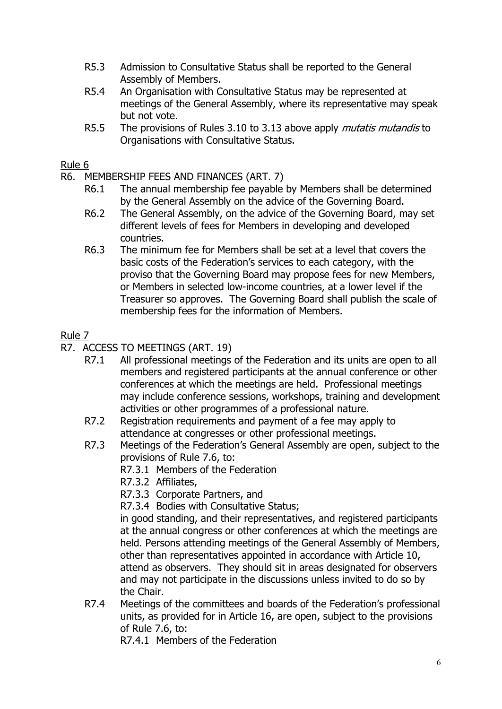- R5.3 Admission to Consultative Status shall be reported to the General Assembly of Members.
- R5.4 An Organisation with Consultative Status may be represented at meetings of the General Assembly, where its representative may speak but not vote.
- R5.5 The provisions of Rules 3.10 to 3.13 above apply *mutatis mutandis* to Organisations with Consultative Status.

- R6. MEMBERSHIP FEES AND FINANCES (ART. 7)
	- R6.1 The annual membership fee payable by Members shall be determined by the General Assembly on the advice of the Governing Board.
	- R6.2 The General Assembly, on the advice of the Governing Board, may set different levels of fees for Members in developing and developed countries.
	- R6.3 The minimum fee for Members shall be set at a level that covers the basic costs of the Federation's services to each category, with the proviso that the Governing Board may propose fees for new Members, or Members in selected low-income countries, at a lower level if the Treasurer so approves. The Governing Board shall publish the scale of membership fees for the information of Members.

# Rule 7

- R7. ACCESS TO MEETINGS (ART. 19)
	- R7.1 All professional meetings of the Federation and its units are open to all members and registered participants at the annual conference or other conferences at which the meetings are held. Professional meetings may include conference sessions, workshops, training and development activities or other programmes of a professional nature.
	- R7.2 Registration requirements and payment of a fee may apply to attendance at congresses or other professional meetings.
	- R7.3 Meetings of the Federation's General Assembly are open, subject to the provisions of Rule 7.6, to:
		- R7.3.1 Members of the Federation
		- R7.3.2 Affiliates,
		- R7.3.3 Corporate Partners, and

R7.3.4 Bodies with Consultative Status;

in good standing, and their representatives, and registered participants at the annual congress or other conferences at which the meetings are held. Persons attending meetings of the General Assembly of Members, other than representatives appointed in accordance with Article 10, attend as observers. They should sit in areas designated for observers and may not participate in the discussions unless invited to do so by the Chair.

R7.4 Meetings of the committees and boards of the Federation's professional units, as provided for in Article 16, are open, subject to the provisions of Rule 7.6, to:

R7.4.1 Members of the Federation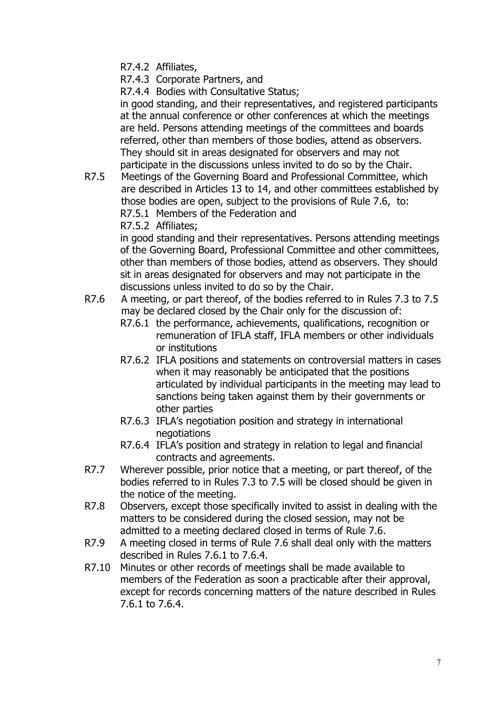R7.4.2 Affiliates,

R7.4.3 Corporate Partners, and

R7.4.4 Bodies with Consultative Status;

in good standing, and their representatives, and registered participants at the annual conference or other conferences at which the meetings are held. Persons attending meetings of the committees and boards referred, other than members of those bodies, attend as observers. They should sit in areas designated for observers and may not participate in the discussions unless invited to do so by the Chair.

R7.5 Meetings of the Governing Board and Professional Committee, which are described in Articles 13 to 14, and other committees established by those bodies are open, subject to the provisions of Rule 7.6, to: R7.5.1 Members of the Federation and R7.5.2 Affiliates;

> in good standing and their representatives. Persons attending meetings of the Governing Board, Professional Committee and other committees, other than members of those bodies, attend as observers. They should sit in areas designated for observers and may not participate in the discussions unless invited to do so by the Chair.

- R7.6 A meeting, or part thereof, of the bodies referred to in Rules 7.3 to 7.5 may be declared closed by the Chair only for the discussion of:
	- R7.6.1 the performance, achievements, qualifications, recognition or remuneration of IFLA staff, IFLA members or other individuals or institutions
	- R7.6.2 IFLA positions and statements on controversial matters in cases when it may reasonably be anticipated that the positions articulated by individual participants in the meeting may lead to sanctions being taken against them by their governments or other parties
	- R7.6.3 IFLA's negotiation position and strategy in international negotiations
	- R7.6.4 IFLA's position and strategy in relation to legal and financial contracts and agreements.
- R7.7 Wherever possible, prior notice that a meeting, or part thereof, of the bodies referred to in Rules 7.3 to 7.5 will be closed should be given in the notice of the meeting.
- R7.8 Observers, except those specifically invited to assist in dealing with the matters to be considered during the closed session, may not be admitted to a meeting declared closed in terms of Rule 7.6.
- R7.9 A meeting closed in terms of Rule 7.6 shall deal only with the matters described in Rules 7.6.1 to 7.6.4.
- R7.10 Minutes or other records of meetings shall be made available to members of the Federation as soon a practicable after their approval, except for records concerning matters of the nature described in Rules 7.6.1 to 7.6.4.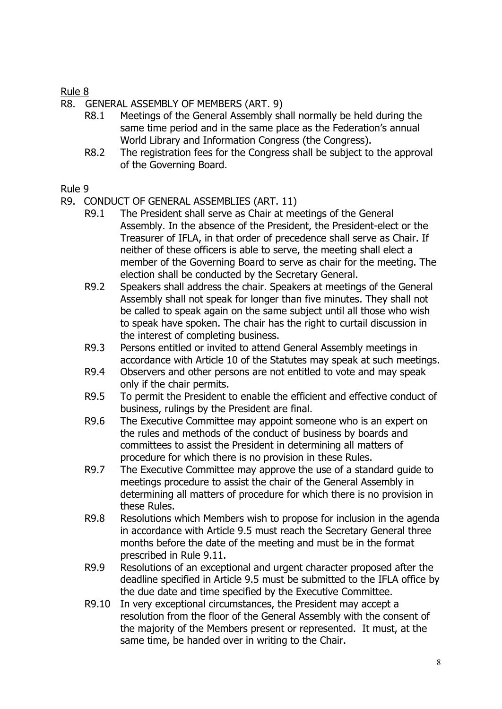- R8. GENERAL ASSEMBLY OF MEMBERS (ART. 9)<br>R8.1 Meetings of the General Assembly sh
	- Meetings of the General Assembly shall normally be held during the same time period and in the same place as the Federation's annual World Library and Information Congress (the Congress).
	- R8.2 The registration fees for the Congress shall be subject to the approval of the Governing Board.

- R9. CONDUCT OF GENERAL ASSEMBLIES (ART. 11)
	- R9.1 The President shall serve as Chair at meetings of the General Assembly. In the absence of the President, the President-elect or the Treasurer of IFLA, in that order of precedence shall serve as Chair. If neither of these officers is able to serve, the meeting shall elect a member of the Governing Board to serve as chair for the meeting. The election shall be conducted by the Secretary General.
	- R9.2 Speakers shall address the chair. Speakers at meetings of the General Assembly shall not speak for longer than five minutes. They shall not be called to speak again on the same subject until all those who wish to speak have spoken. The chair has the right to curtail discussion in the interest of completing business.
	- R9.3 Persons entitled or invited to attend General Assembly meetings in accordance with Article 10 of the Statutes may speak at such meetings.
	- R9.4 Observers and other persons are not entitled to vote and may speak only if the chair permits.
	- R9.5 To permit the President to enable the efficient and effective conduct of business, rulings by the President are final.
	- R9.6 The Executive Committee may appoint someone who is an expert on the rules and methods of the conduct of business by boards and committees to assist the President in determining all matters of procedure for which there is no provision in these Rules.
	- R9.7 The Executive Committee may approve the use of a standard guide to meetings procedure to assist the chair of the General Assembly in determining all matters of procedure for which there is no provision in these Rules.
	- R9.8 Resolutions which Members wish to propose for inclusion in the agenda in accordance with Article 9.5 must reach the Secretary General three months before the date of the meeting and must be in the format prescribed in Rule 9.11.
	- R9.9 Resolutions of an exceptional and urgent character proposed after the deadline specified in Article 9.5 must be submitted to the IFLA office by the due date and time specified by the Executive Committee.
	- R9.10 In very exceptional circumstances, the President may accept a resolution from the floor of the General Assembly with the consent of the majority of the Members present or represented. It must, at the same time, be handed over in writing to the Chair.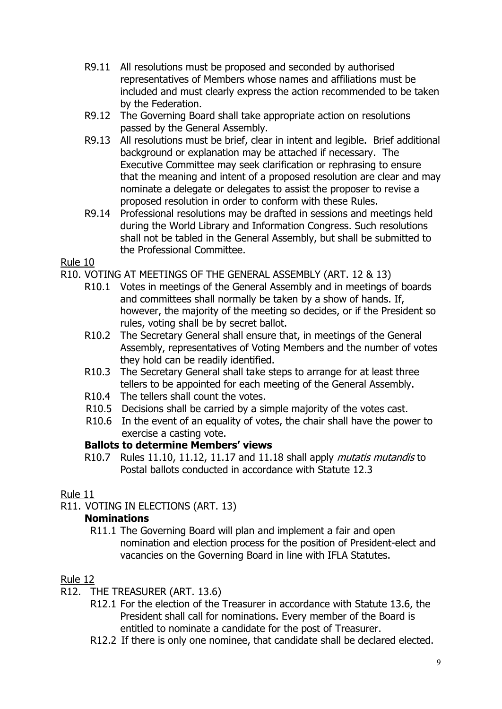- R9.11 All resolutions must be proposed and seconded by authorised representatives of Members whose names and affiliations must be included and must clearly express the action recommended to be taken by the Federation.
- R9.12 The Governing Board shall take appropriate action on resolutions passed by the General Assembly.
- R9.13 All resolutions must be brief, clear in intent and legible. Brief additional background or explanation may be attached if necessary. The Executive Committee may seek clarification or rephrasing to ensure that the meaning and intent of a proposed resolution are clear and may nominate a delegate or delegates to assist the proposer to revise a proposed resolution in order to conform with these Rules.
- R9.14 Professional resolutions may be drafted in sessions and meetings held during the World Library and Information Congress. Such resolutions shall not be tabled in the General Assembly, but shall be submitted to the Professional Committee.

- R10. VOTING AT MEETINGS OF THE GENERAL ASSEMBLY (ART. 12 & 13)
	- R10.1 Votes in meetings of the General Assembly and in meetings of boards and committees shall normally be taken by a show of hands. If, however, the majority of the meeting so decides, or if the President so rules, voting shall be by secret ballot.
	- R10.2 The Secretary General shall ensure that, in meetings of the General Assembly, representatives of Voting Members and the number of votes they hold can be readily identified.
	- R10.3 The Secretary General shall take steps to arrange for at least three tellers to be appointed for each meeting of the General Assembly.
	- R10.4 The tellers shall count the votes.
	- R10.5 Decisions shall be carried by a simple majority of the votes cast.
	- R10.6 In the event of an equality of votes, the chair shall have the power to exercise a casting vote.

# **Ballots to determine Members' views**

R10.7 Rules 11.10, 11.12, 11.17 and 11.18 shall apply *mutatis mutandis* to Postal ballots conducted in accordance with Statute 12.3

# Rule 11

R11. VOTING IN ELECTIONS (ART. 13)

# **Nominations**

R11.1 The Governing Board will plan and implement a fair and open nomination and election process for the position of President-elect and vacancies on the Governing Board in line with IFLA Statutes.

- R12. THE TREASURER (ART. 13.6)
	- R12.1 For the election of the Treasurer in accordance with Statute 13.6, the President shall call for nominations. Every member of the Board is entitled to nominate a candidate for the post of Treasurer.
	- R12.2 If there is only one nominee, that candidate shall be declared elected.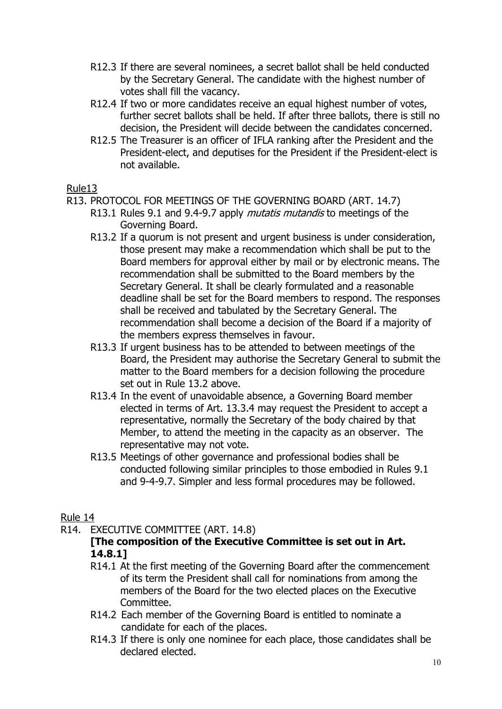- R12.3 If there are several nominees, a secret ballot shall be held conducted by the Secretary General. The candidate with the highest number of votes shall fill the vacancy.
- R12.4 If two or more candidates receive an equal highest number of votes, further secret ballots shall be held. If after three ballots, there is still no decision, the President will decide between the candidates concerned.
- R12.5 The Treasurer is an officer of IFLA ranking after the President and the President-elect, and deputises for the President if the President-elect is not available.

- R13. PROTOCOL FOR MEETINGS OF THE GOVERNING BOARD (ART. 14.7)
	- R13.1 Rules 9.1 and 9.4-9.7 apply *mutatis mutandis* to meetings of the Governing Board.
	- R13.2 If a quorum is not present and urgent business is under consideration, those present may make a recommendation which shall be put to the Board members for approval either by mail or by electronic means. The recommendation shall be submitted to the Board members by the Secretary General. It shall be clearly formulated and a reasonable deadline shall be set for the Board members to respond. The responses shall be received and tabulated by the Secretary General. The recommendation shall become a decision of the Board if a majority of the members express themselves in favour.
	- R13.3 If urgent business has to be attended to between meetings of the Board, the President may authorise the Secretary General to submit the matter to the Board members for a decision following the procedure set out in Rule 13.2 above.
	- R13.4 In the event of unavoidable absence, a Governing Board member elected in terms of Art. 13.3.4 may request the President to accept a representative, normally the Secretary of the body chaired by that Member, to attend the meeting in the capacity as an observer. The representative may not vote.
	- R13.5 Meetings of other governance and professional bodies shall be conducted following similar principles to those embodied in Rules 9.1 and 9-4-9.7. Simpler and less formal procedures may be followed.

# Rule 14

R14. EXECUTIVE COMMITTEE (ART. 14.8)

# **[The composition of the Executive Committee is set out in Art. 14.8.1]**

- R14.1 At the first meeting of the Governing Board after the commencement of its term the President shall call for nominations from among the members of the Board for the two elected places on the Executive Committee.
- R14.2 Each member of the Governing Board is entitled to nominate a candidate for each of the places.
- R14.3 If there is only one nominee for each place, those candidates shall be declared elected.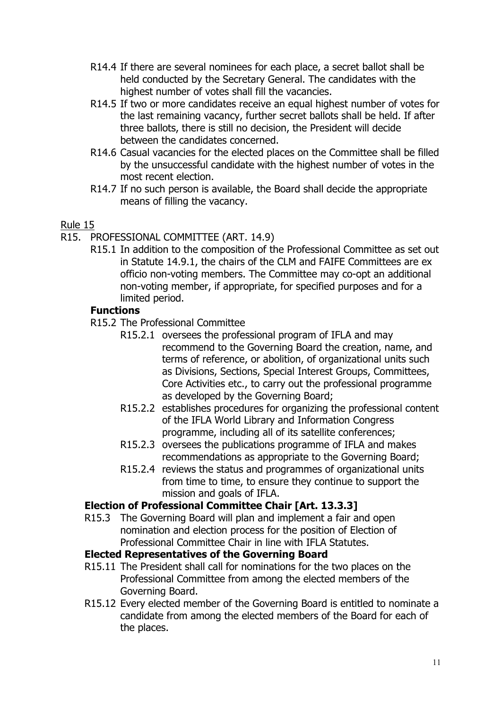- R14.4 If there are several nominees for each place, a secret ballot shall be held conducted by the Secretary General. The candidates with the highest number of votes shall fill the vacancies.
- R14.5 If two or more candidates receive an equal highest number of votes for the last remaining vacancy, further secret ballots shall be held. If after three ballots, there is still no decision, the President will decide between the candidates concerned.
- R14.6 Casual vacancies for the elected places on the Committee shall be filled by the unsuccessful candidate with the highest number of votes in the most recent election.
- R14.7 If no such person is available, the Board shall decide the appropriate means of filling the vacancy.

- R15. PROFESSIONAL COMMITTEE (ART. 14.9)
	- R15.1 In addition to the composition of the Professional Committee as set out in Statute 14.9.1, the chairs of the CLM and FAIFE Committees are ex officio non-voting members. The Committee may co-opt an additional non-voting member, if appropriate, for specified purposes and for a limited period.

## **Functions**

- R15.2 The Professional Committee
	- R15.2.1 oversees the professional program of IFLA and may recommend to the Governing Board the creation, name, and terms of reference, or abolition, of organizational units such as Divisions, Sections, Special Interest Groups, Committees, Core Activities etc., to carry out the professional programme as developed by the Governing Board;
	- R15.2.2 establishes procedures for organizing the professional content of the IFLA World Library and Information Congress programme, including all of its satellite conferences;
	- R15.2.3 oversees the publications programme of IFLA and makes recommendations as appropriate to the Governing Board;
	- R15.2.4 reviews the status and programmes of organizational units from time to time, to ensure they continue to support the mission and goals of IFLA.

## **Election of Professional Committee Chair [Art. 13.3.3]**

R15.3 The Governing Board will plan and implement a fair and open nomination and election process for the position of Election of Professional Committee Chair in line with IFLA Statutes.

## **Elected Representatives of the Governing Board**

- R15.11 The President shall call for nominations for the two places on the Professional Committee from among the elected members of the Governing Board.
- R15.12 Every elected member of the Governing Board is entitled to nominate a candidate from among the elected members of the Board for each of the places.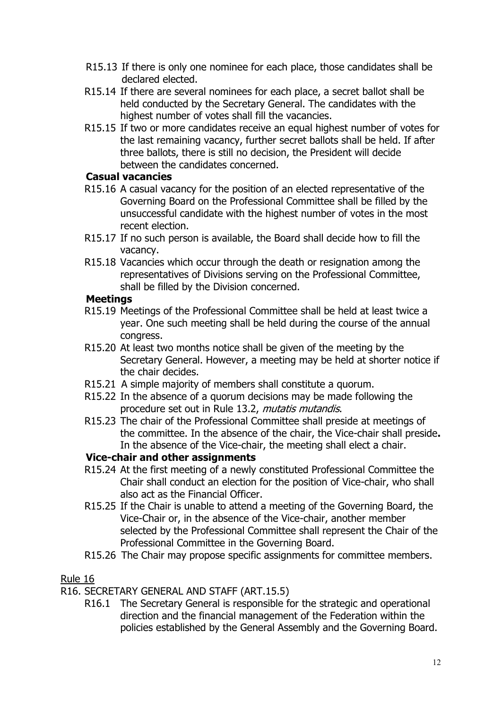- R15.13 If there is only one nominee for each place, those candidates shall be declared elected.
- R15.14 If there are several nominees for each place, a secret ballot shall be held conducted by the Secretary General. The candidates with the highest number of votes shall fill the vacancies.
- R15.15 If two or more candidates receive an equal highest number of votes for the last remaining vacancy, further secret ballots shall be held. If after three ballots, there is still no decision, the President will decide between the candidates concerned.

# **Casual vacancies**

- R15.16 A casual vacancy for the position of an elected representative of the Governing Board on the Professional Committee shall be filled by the unsuccessful candidate with the highest number of votes in the most recent election.
- R15.17 If no such person is available, the Board shall decide how to fill the vacancy.
- R15.18 Vacancies which occur through the death or resignation among the representatives of Divisions serving on the Professional Committee, shall be filled by the Division concerned.

# **Meetings**

- R15.19 Meetings of the Professional Committee shall be held at least twice a year. One such meeting shall be held during the course of the annual congress.
- R15.20 At least two months notice shall be given of the meeting by the Secretary General. However, a meeting may be held at shorter notice if the chair decides.
- R15.21 A simple majority of members shall constitute a quorum.
- R15.22 In the absence of a quorum decisions may be made following the procedure set out in Rule 13.2, *mutatis mutandis*.
- R15.23 The chair of the Professional Committee shall preside at meetings of the committee. In the absence of the chair, the Vice-chair shall preside**.**  In the absence of the Vice-chair, the meeting shall elect a chair.

# **Vice-chair and other assignments**

- R15.24 At the first meeting of a newly constituted Professional Committee the Chair shall conduct an election for the position of Vice-chair, who shall also act as the Financial Officer.
- R15.25 If the Chair is unable to attend a meeting of the Governing Board, the Vice-Chair or, in the absence of the Vice-chair, another member selected by the Professional Committee shall represent the Chair of the Professional Committee in the Governing Board.
- R15.26 The Chair may propose specific assignments for committee members.

# Rule 16

R16. SECRETARY GENERAL AND STAFF (ART.15.5)

R16.1 The Secretary General is responsible for the strategic and operational direction and the financial management of the Federation within the policies established by the General Assembly and the Governing Board.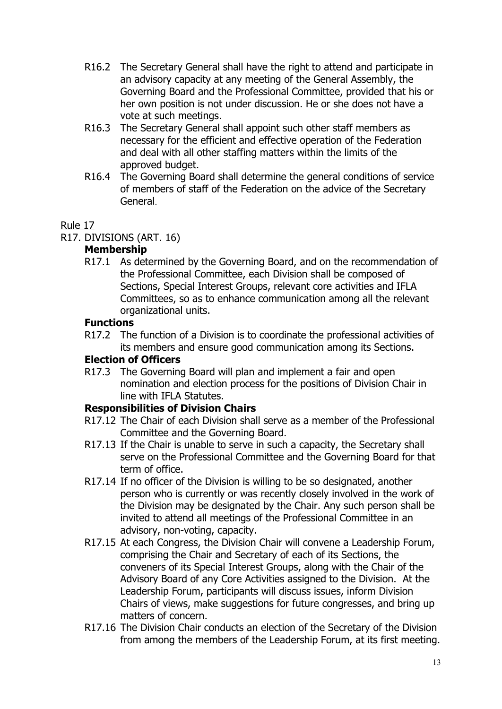- R16.2 The Secretary General shall have the right to attend and participate in an advisory capacity at any meeting of the General Assembly, the Governing Board and the Professional Committee, provided that his or her own position is not under discussion. He or she does not have a vote at such meetings.
- R16.3 The Secretary General shall appoint such other staff members as necessary for the efficient and effective operation of the Federation and deal with all other staffing matters within the limits of the approved budget.
- R16.4 The Governing Board shall determine the general conditions of service of members of staff of the Federation on the advice of the Secretary General.

R17. DIVISIONS (ART. 16)

# **Membership**

R17.1 As determined by the Governing Board, and on the recommendation of the Professional Committee, each Division shall be composed of Sections, Special Interest Groups, relevant core activities and IFLA Committees, so as to enhance communication among all the relevant organizational units.

# **Functions**

R17.2 The function of a Division is to coordinate the professional activities of its members and ensure good communication among its Sections.

# **Election of Officers**

R17.3 The Governing Board will plan and implement a fair and open nomination and election process for the positions of Division Chair in line with IFLA Statutes.

# **Responsibilities of Division Chairs**

- R17.12 The Chair of each Division shall serve as a member of the Professional Committee and the Governing Board.
- R17.13 If the Chair is unable to serve in such a capacity, the Secretary shall serve on the Professional Committee and the Governing Board for that term of office.
- R17.14 If no officer of the Division is willing to be so designated, another person who is currently or was recently closely involved in the work of the Division may be designated by the Chair. Any such person shall be invited to attend all meetings of the Professional Committee in an advisory, non-voting, capacity.
- R17.15 At each Congress, the Division Chair will convene a Leadership Forum, comprising the Chair and Secretary of each of its Sections, the conveners of its Special Interest Groups, along with the Chair of the Advisory Board of any Core Activities assigned to the Division. At the Leadership Forum, participants will discuss issues, inform Division Chairs of views, make suggestions for future congresses, and bring up matters of concern.
- R17.16 The Division Chair conducts an election of the Secretary of the Division from among the members of the Leadership Forum, at its first meeting.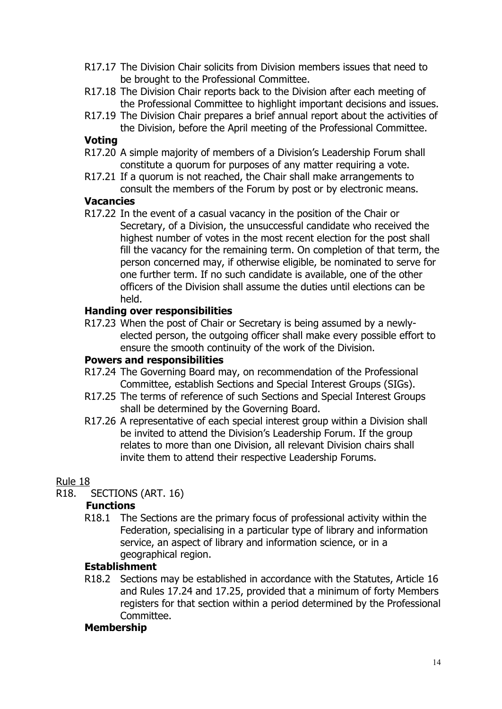- R17.17 The Division Chair solicits from Division members issues that need to be brought to the Professional Committee.
- R17.18 The Division Chair reports back to the Division after each meeting of the Professional Committee to highlight important decisions and issues.
- R17.19 The Division Chair prepares a brief annual report about the activities of the Division, before the April meeting of the Professional Committee.

#### **Voting**

- R17.20 A simple majority of members of a Division's Leadership Forum shall constitute a quorum for purposes of any matter requiring a vote.
- R17.21 If a quorum is not reached, the Chair shall make arrangements to consult the members of the Forum by post or by electronic means.

#### **Vacancies**

R17.22 In the event of a casual vacancy in the position of the Chair or Secretary, of a Division, the unsuccessful candidate who received the highest number of votes in the most recent election for the post shall fill the vacancy for the remaining term. On completion of that term, the person concerned may, if otherwise eligible, be nominated to serve for one further term. If no such candidate is available, one of the other officers of the Division shall assume the duties until elections can be held.

#### **Handing over responsibilities**

R17.23 When the post of Chair or Secretary is being assumed by a newlyelected person, the outgoing officer shall make every possible effort to ensure the smooth continuity of the work of the Division.

#### **Powers and responsibilities**

- R17.24 The Governing Board may, on recommendation of the Professional Committee, establish Sections and Special Interest Groups (SIGs).
- R17.25 The terms of reference of such Sections and Special Interest Groups shall be determined by the Governing Board.
- R17.26 A representative of each special interest group within a Division shall be invited to attend the Division's Leadership Forum. If the group relates to more than one Division, all relevant Division chairs shall invite them to attend their respective Leadership Forums.

#### Rule 18

R18. SECTIONS (ART. 16)

#### **Functions**

R18.1 The Sections are the primary focus of professional activity within the Federation, specialising in a particular type of library and information service, an aspect of library and information science, or in a geographical region.

## **Establishment**

R18.2 Sections may be established in accordance with the Statutes, Article 16 and Rules 17.24 and 17.25, provided that a minimum of forty Members registers for that section within a period determined by the Professional Committee.

#### **Membership**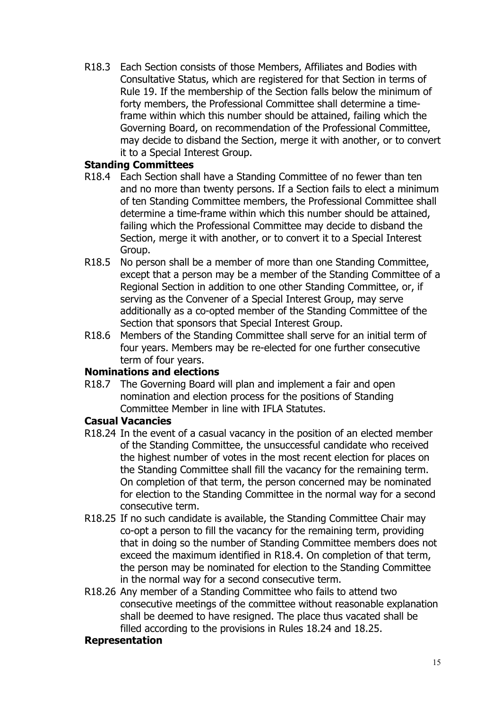R18.3 Each Section consists of those Members, Affiliates and Bodies with Consultative Status, which are registered for that Section in terms of Rule 19. If the membership of the Section falls below the minimum of forty members, the Professional Committee shall determine a timeframe within which this number should be attained, failing which the Governing Board, on recommendation of the Professional Committee, may decide to disband the Section, merge it with another, or to convert it to a Special Interest Group.

## **Standing Committees**

- R18.4 Each Section shall have a Standing Committee of no fewer than ten and no more than twenty persons. If a Section fails to elect a minimum of ten Standing Committee members, the Professional Committee shall determine a time-frame within which this number should be attained, failing which the Professional Committee may decide to disband the Section, merge it with another, or to convert it to a Special Interest Group.
- R18.5 No person shall be a member of more than one Standing Committee, except that a person may be a member of the Standing Committee of a Regional Section in addition to one other Standing Committee, or, if serving as the Convener of a Special Interest Group, may serve additionally as a co-opted member of the Standing Committee of the Section that sponsors that Special Interest Group.
- R18.6 Members of the Standing Committee shall serve for an initial term of four years. Members may be re-elected for one further consecutive term of four years.

## **Nominations and elections**

R18.7 The Governing Board will plan and implement a fair and open nomination and election process for the positions of Standing Committee Member in line with IFLA Statutes.

## **Casual Vacancies**

- R18.24 In the event of a casual vacancy in the position of an elected member of the Standing Committee, the unsuccessful candidate who received the highest number of votes in the most recent election for places on the Standing Committee shall fill the vacancy for the remaining term. On completion of that term, the person concerned may be nominated for election to the Standing Committee in the normal way for a second consecutive term.
- R18.25 If no such candidate is available, the Standing Committee Chair may co-opt a person to fill the vacancy for the remaining term, providing that in doing so the number of Standing Committee members does not exceed the maximum identified in R18.4. On completion of that term, the person may be nominated for election to the Standing Committee in the normal way for a second consecutive term.
- R18.26 Any member of a Standing Committee who fails to attend two consecutive meetings of the committee without reasonable explanation shall be deemed to have resigned. The place thus vacated shall be filled according to the provisions in Rules 18.24 and 18.25.

## **Representation**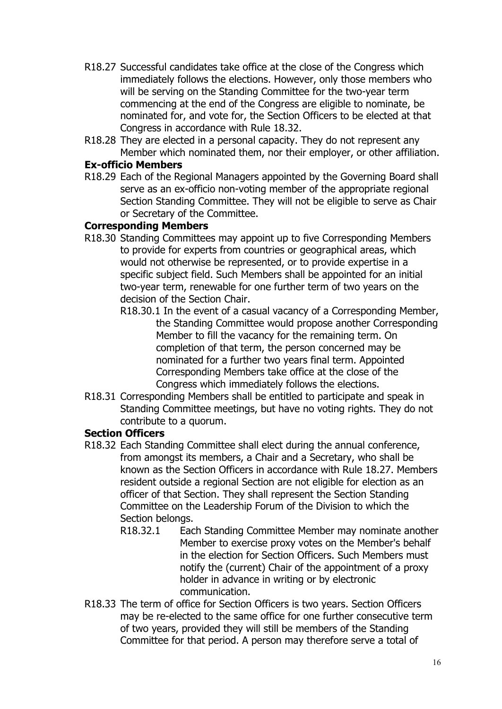- R18.27 Successful candidates take office at the close of the Congress which immediately follows the elections. However, only those members who will be serving on the Standing Committee for the two-year term commencing at the end of the Congress are eligible to nominate, be nominated for, and vote for, the Section Officers to be elected at that Congress in accordance with Rule 18.32.
- R18.28 They are elected in a personal capacity. They do not represent any Member which nominated them, nor their employer, or other affiliation.

# **Ex-officio Members**

R18.29 Each of the Regional Managers appointed by the Governing Board shall serve as an ex-officio non-voting member of the appropriate regional Section Standing Committee. They will not be eligible to serve as Chair or Secretary of the Committee.

# **Corresponding Members**

- R18.30 Standing Committees may appoint up to five Corresponding Members to provide for experts from countries or geographical areas, which would not otherwise be represented, or to provide expertise in a specific subject field. Such Members shall be appointed for an initial two-year term, renewable for one further term of two years on the decision of the Section Chair.
	- R18.30.1 In the event of a casual vacancy of a Corresponding Member, the Standing Committee would propose another Corresponding Member to fill the vacancy for the remaining term. On completion of that term, the person concerned may be nominated for a further two years final term. Appointed Corresponding Members take office at the close of the Congress which immediately follows the elections.
- R18.31 Corresponding Members shall be entitled to participate and speak in Standing Committee meetings, but have no voting rights. They do not contribute to a quorum.

## **Section Officers**

- R18.32 Each Standing Committee shall elect during the annual conference, from amongst its members, a Chair and a Secretary, who shall be known as the Section Officers in accordance with Rule 18.27. Members resident outside a regional Section are not eligible for election as an officer of that Section. They shall represent the Section Standing Committee on the Leadership Forum of the Division to which the Section belongs.
	- R18.32.1 Each Standing Committee Member may nominate another Member to exercise proxy votes on the Member's behalf in the election for Section Officers. Such Members must notify the (current) Chair of the appointment of a proxy holder in advance in writing or by electronic communication.
- R18.33 The term of office for Section Officers is two years. Section Officers may be re-elected to the same office for one further consecutive term of two years, provided they will still be members of the Standing Committee for that period. A person may therefore serve a total of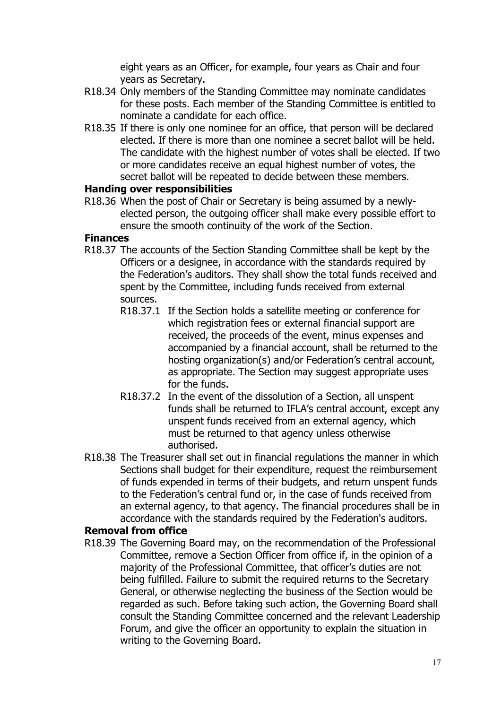eight years as an Officer, for example, four years as Chair and four years as Secretary.

- R18.34 Only members of the Standing Committee may nominate candidates for these posts. Each member of the Standing Committee is entitled to nominate a candidate for each office.
- R18.35 If there is only one nominee for an office, that person will be declared elected. If there is more than one nominee a secret ballot will be held. The candidate with the highest number of votes shall be elected. If two or more candidates receive an equal highest number of votes, the secret ballot will be repeated to decide between these members.

#### **Handing over responsibilities**

R18.36 When the post of Chair or Secretary is being assumed by a newlyelected person, the outgoing officer shall make every possible effort to ensure the smooth continuity of the work of the Section.

#### **Finances**

- R18.37 The accounts of the Section Standing Committee shall be kept by the Officers or a designee, in accordance with the standards required by the Federation's auditors. They shall show the total funds received and spent by the Committee, including funds received from external sources.
	- R18.37.1 If the Section holds a satellite meeting or conference for which registration fees or external financial support are received, the proceeds of the event, minus expenses and accompanied by a financial account, shall be returned to the hosting organization(s) and/or Federation's central account, as appropriate. The Section may suggest appropriate uses for the funds.
	- R18.37.2 In the event of the dissolution of a Section, all unspent funds shall be returned to IFLA's central account, except any unspent funds received from an external agency, which must be returned to that agency unless otherwise authorised.
- R18.38 The Treasurer shall set out in financial regulations the manner in which Sections shall budget for their expenditure, request the reimbursement of funds expended in terms of their budgets, and return unspent funds to the Federation's central fund or, in the case of funds received from an external agency, to that agency. The financial procedures shall be in accordance with the standards required by the Federation's auditors.

## **Removal from office**

R18.39 The Governing Board may, on the recommendation of the Professional Committee, remove a Section Officer from office if, in the opinion of a majority of the Professional Committee, that officer's duties are not being fulfilled. Failure to submit the required returns to the Secretary General, or otherwise neglecting the business of the Section would be regarded as such. Before taking such action, the Governing Board shall consult the Standing Committee concerned and the relevant Leadership Forum, and give the officer an opportunity to explain the situation in writing to the Governing Board.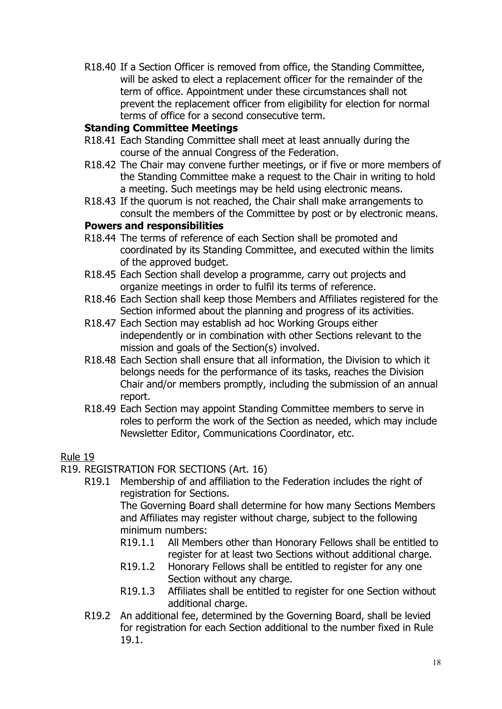R18.40 If a Section Officer is removed from office, the Standing Committee, will be asked to elect a replacement officer for the remainder of the term of office. Appointment under these circumstances shall not prevent the replacement officer from eligibility for election for normal terms of office for a second consecutive term.

## **Standing Committee Meetings**

- R18.41 Each Standing Committee shall meet at least annually during the course of the annual Congress of the Federation.
- R18.42 The Chair may convene further meetings, or if five or more members of the Standing Committee make a request to the Chair in writing to hold a meeting. Such meetings may be held using electronic means.
- R18.43 If the quorum is not reached, the Chair shall make arrangements to consult the members of the Committee by post or by electronic means.

# **Powers and responsibilities**

- R18.44 The terms of reference of each Section shall be promoted and coordinated by its Standing Committee, and executed within the limits of the approved budget.
- R18.45 Each Section shall develop a programme, carry out projects and organize meetings in order to fulfil its terms of reference.
- R18.46 Each Section shall keep those Members and Affiliates registered for the Section informed about the planning and progress of its activities.
- R18.47 Each Section may establish ad hoc Working Groups either independently or in combination with other Sections relevant to the mission and goals of the Section(s) involved.
- R18.48 Each Section shall ensure that all information, the Division to which it belongs needs for the performance of its tasks, reaches the Division Chair and/or members promptly, including the submission of an annual report.
- R18.49 Each Section may appoint Standing Committee members to serve in roles to perform the work of the Section as needed, which may include Newsletter Editor, Communications Coordinator, etc.

# Rule 19

- R19. REGISTRATION FOR SECTIONS (Art. 16)
	- R19.1 Membership of and affiliation to the Federation includes the right of registration for Sections.

The Governing Board shall determine for how many Sections Members and Affiliates may register without charge, subject to the following minimum numbers:

- R19.1.1 All Members other than Honorary Fellows shall be entitled to register for at least two Sections without additional charge.
- R19.1.2 Honorary Fellows shall be entitled to register for any one Section without any charge.
- R19.1.3 Affiliates shall be entitled to register for one Section without additional charge.
- R19.2 An additional fee, determined by the Governing Board, shall be levied for registration for each Section additional to the number fixed in Rule 19.1.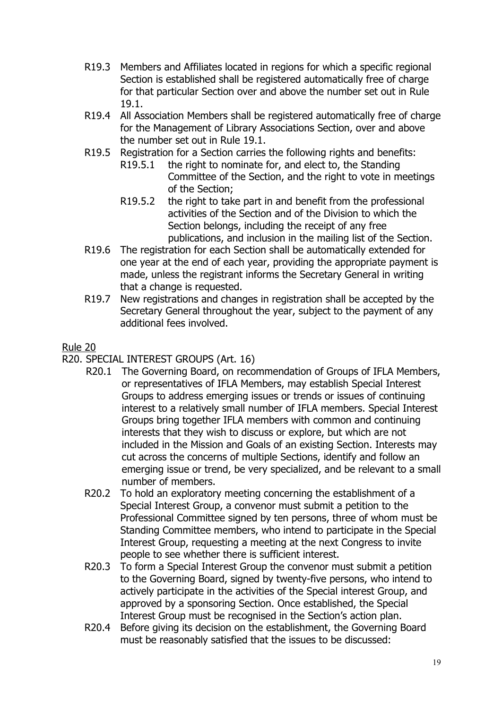- R19.3 Members and Affiliates located in regions for which a specific regional Section is established shall be registered automatically free of charge for that particular Section over and above the number set out in Rule 19.1.
- R19.4 All Association Members shall be registered automatically free of charge for the Management of Library Associations Section, over and above the number set out in Rule 19.1.
- R19.5 Registration for a Section carries the following rights and benefits:<br>R19.5.1 the right to nominate for, and elect to, the Standing
	- the right to nominate for, and elect to, the Standing Committee of the Section, and the right to vote in meetings of the Section;
	- R19.5.2 the right to take part in and benefit from the professional activities of the Section and of the Division to which the Section belongs, including the receipt of any free publications, and inclusion in the mailing list of the Section.
- R19.6 The registration for each Section shall be automatically extended for one year at the end of each year, providing the appropriate payment is made, unless the registrant informs the Secretary General in writing that a change is requested.
- R19.7 New registrations and changes in registration shall be accepted by the Secretary General throughout the year, subject to the payment of any additional fees involved.

- R20. SPECIAL INTEREST GROUPS (Art. 16)
	- R20.1 The Governing Board, on recommendation of Groups of IFLA Members, or representatives of IFLA Members, may establish Special Interest Groups to address emerging issues or trends or issues of continuing interest to a relatively small number of IFLA members. Special Interest Groups bring together IFLA members with common and continuing interests that they wish to discuss or explore, but which are not included in the Mission and Goals of an existing Section. Interests may cut across the concerns of multiple Sections, identify and follow an emerging issue or trend, be very specialized, and be relevant to a small number of members.
	- R20.2 To hold an exploratory meeting concerning the establishment of a Special Interest Group, a convenor must submit a petition to the Professional Committee signed by ten persons, three of whom must be Standing Committee members, who intend to participate in the Special Interest Group, requesting a meeting at the next Congress to invite people to see whether there is sufficient interest.
	- R20.3 To form a Special Interest Group the convenor must submit a petition to the Governing Board, signed by twenty-five persons, who intend to actively participate in the activities of the Special interest Group, and approved by a sponsoring Section. Once established, the Special Interest Group must be recognised in the Section's action plan.
	- R20.4 Before giving its decision on the establishment, the Governing Board must be reasonably satisfied that the issues to be discussed: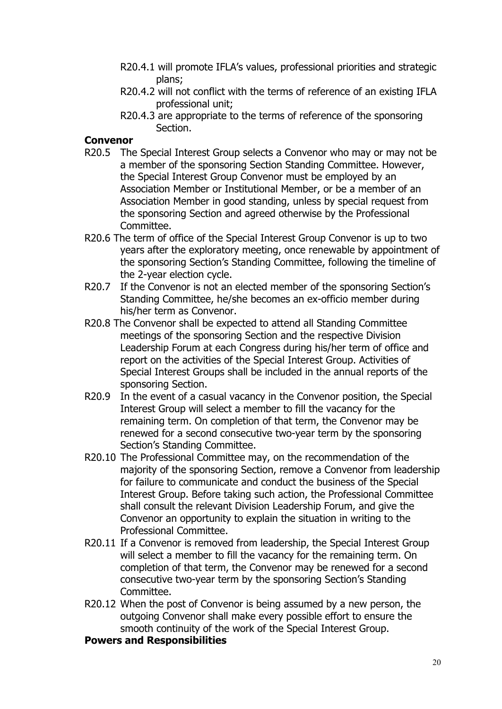- R20.4.1 will promote IFLA's values, professional priorities and strategic plans;
- R20.4.2 will not conflict with the terms of reference of an existing IFLA professional unit;
- R20.4.3 are appropriate to the terms of reference of the sponsoring Section.

### **Convenor**

- R20.5 The Special Interest Group selects a Convenor who may or may not be a member of the sponsoring Section Standing Committee. However, the Special Interest Group Convenor must be employed by an Association Member or Institutional Member, or be a member of an Association Member in good standing, unless by special request from the sponsoring Section and agreed otherwise by the Professional Committee.
- R20.6 The term of office of the Special Interest Group Convenor is up to two years after the exploratory meeting, once renewable by appointment of the sponsoring Section's Standing Committee, following the timeline of the 2-year election cycle.
- R20.7 If the Convenor is not an elected member of the sponsoring Section's Standing Committee, he/she becomes an ex-officio member during his/her term as Convenor.
- R20.8 The Convenor shall be expected to attend all Standing Committee meetings of the sponsoring Section and the respective Division Leadership Forum at each Congress during his/her term of office and report on the activities of the Special Interest Group. Activities of Special Interest Groups shall be included in the annual reports of the sponsoring Section.
- R20.9 In the event of a casual vacancy in the Convenor position, the Special Interest Group will select a member to fill the vacancy for the remaining term. On completion of that term, the Convenor may be renewed for a second consecutive two-year term by the sponsoring Section's Standing Committee.
- R20.10 The Professional Committee may, on the recommendation of the majority of the sponsoring Section, remove a Convenor from leadership for failure to communicate and conduct the business of the Special Interest Group. Before taking such action, the Professional Committee shall consult the relevant Division Leadership Forum, and give the Convenor an opportunity to explain the situation in writing to the Professional Committee.
- R20.11 If a Convenor is removed from leadership, the Special Interest Group will select a member to fill the vacancy for the remaining term. On completion of that term, the Convenor may be renewed for a second consecutive two-year term by the sponsoring Section's Standing Committee.
- R20.12 When the post of Convenor is being assumed by a new person, the outgoing Convenor shall make every possible effort to ensure the smooth continuity of the work of the Special Interest Group.

#### **Powers and Responsibilities**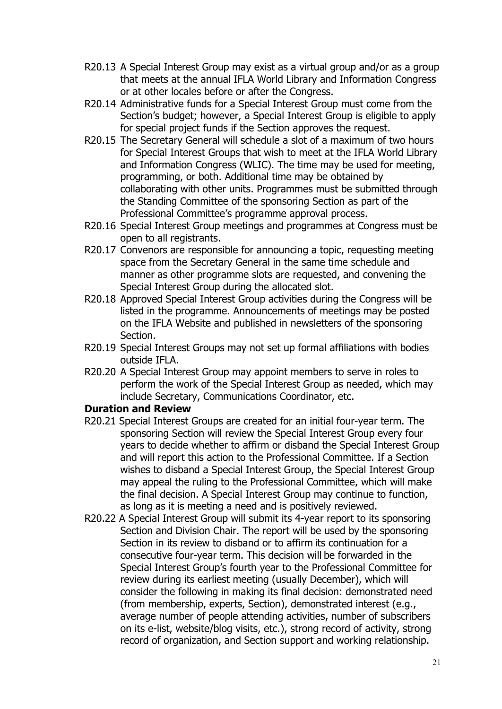- R20.13 A Special Interest Group may exist as a virtual group and/or as a group that meets at the annual IFLA World Library and Information Congress or at other locales before or after the Congress.
- R20.14 Administrative funds for a Special Interest Group must come from the Section's budget; however, a Special Interest Group is eligible to apply for special project funds if the Section approves the request.
- R20.15 The Secretary General will schedule a slot of a maximum of two hours for Special Interest Groups that wish to meet at the IFLA World Library and Information Congress (WLIC). The time may be used for meeting, programming, or both. Additional time may be obtained by collaborating with other units. Programmes must be submitted through the Standing Committee of the sponsoring Section as part of the Professional Committee's programme approval process.
- R20.16 Special Interest Group meetings and programmes at Congress must be open to all registrants.
- R20.17 Convenors are responsible for announcing a topic, requesting meeting space from the Secretary General in the same time schedule and manner as other programme slots are requested, and convening the Special Interest Group during the allocated slot.
- R20.18 Approved Special Interest Group activities during the Congress will be listed in the programme. Announcements of meetings may be posted on the IFLA Website and published in newsletters of the sponsoring Section.
- R20.19 Special Interest Groups may not set up formal affiliations with bodies outside IFLA.
- R20.20 A Special Interest Group may appoint members to serve in roles to perform the work of the Special Interest Group as needed, which may include Secretary, Communications Coordinator, etc.

## **Duration and Review**

- R20.21 Special Interest Groups are created for an initial four-year term. The sponsoring Section will review the Special Interest Group every four years to decide whether to affirm or disband the Special Interest Group and will report this action to the Professional Committee. If a Section wishes to disband a Special Interest Group, the Special Interest Group may appeal the ruling to the Professional Committee, which will make the final decision. A Special Interest Group may continue to function, as long as it is meeting a need and is positively reviewed.
- R20.22 A Special Interest Group will submit its 4-year report to its sponsoring Section and Division Chair. The report will be used by the sponsoring Section in its review to disband or to affirm its continuation for a consecutive four-year term. This decision will be forwarded in the Special Interest Group's fourth year to the Professional Committee for review during its earliest meeting (usually December), which will consider the following in making its final decision: demonstrated need (from membership, experts, Section), demonstrated interest (e.g., average number of people attending activities, number of subscribers on its e-list, website/blog visits, etc.), strong record of activity, strong record of organization, and Section support and working relationship.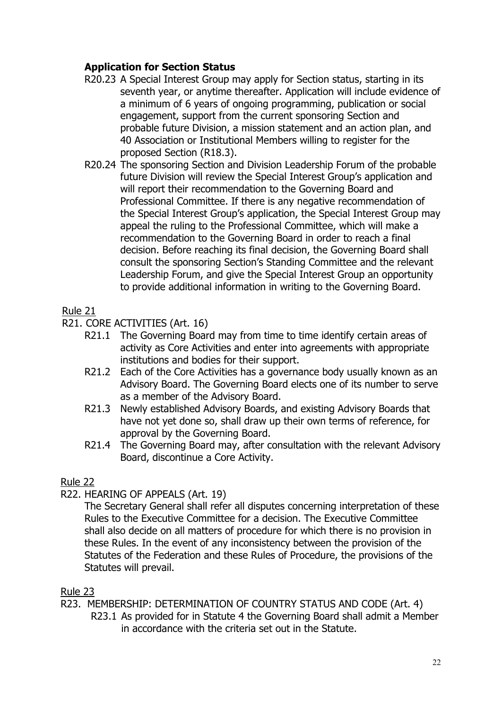# **Application for Section Status**

- R20.23 A Special Interest Group may apply for Section status, starting in its seventh year, or anytime thereafter. Application will include evidence of a minimum of 6 years of ongoing programming, publication or social engagement, support from the current sponsoring Section and probable future Division, a mission statement and an action plan, and 40 Association or Institutional Members willing to register for the proposed Section (R18.3).
- R20.24 The sponsoring Section and Division Leadership Forum of the probable future Division will review the Special Interest Group's application and will report their recommendation to the Governing Board and Professional Committee. If there is any negative recommendation of the Special Interest Group's application, the Special Interest Group may appeal the ruling to the Professional Committee, which will make a recommendation to the Governing Board in order to reach a final decision. Before reaching its final decision, the Governing Board shall consult the sponsoring Section's Standing Committee and the relevant Leadership Forum, and give the Special Interest Group an opportunity to provide additional information in writing to the Governing Board.

# Rule 21

- R21. CORE ACTIVITIES (Art. 16)
	- R21.1 The Governing Board may from time to time identify certain areas of activity as Core Activities and enter into agreements with appropriate institutions and bodies for their support.
	- R21.2 Each of the Core Activities has a governance body usually known as an Advisory Board. The Governing Board elects one of its number to serve as a member of the Advisory Board.
	- R21.3 Newly established Advisory Boards, and existing Advisory Boards that have not yet done so, shall draw up their own terms of reference, for approval by the Governing Board.
	- R21.4 The Governing Board may, after consultation with the relevant Advisory Board, discontinue a Core Activity.

## Rule 22

## R22. HEARING OF APPEALS (Art. 19)

The Secretary General shall refer all disputes concerning interpretation of these Rules to the Executive Committee for a decision. The Executive Committee shall also decide on all matters of procedure for which there is no provision in these Rules. In the event of any inconsistency between the provision of the Statutes of the Federation and these Rules of Procedure, the provisions of the Statutes will prevail.

## Rule 23

R23. MEMBERSHIP: DETERMINATION OF COUNTRY STATUS AND CODE (Art. 4) R23.1 As provided for in Statute 4 the Governing Board shall admit a Member in accordance with the criteria set out in the Statute.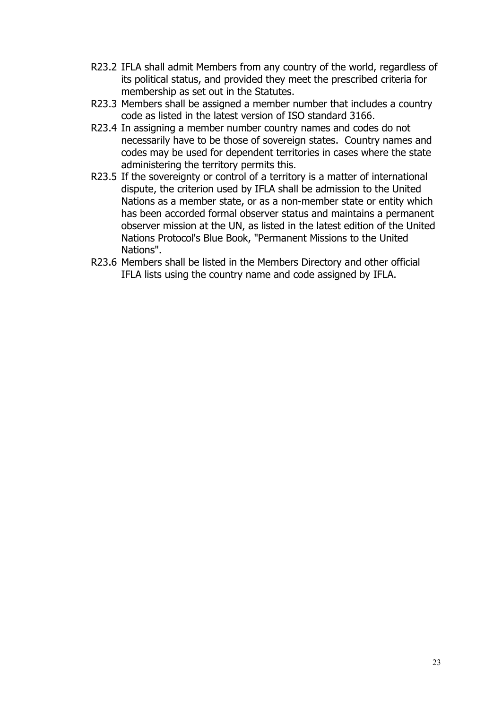- R23.2 IFLA shall admit Members from any country of the world, regardless of its political status, and provided they meet the prescribed criteria for membership as set out in the Statutes.
- R23.3 Members shall be assigned a member number that includes a country code as listed in the latest version of ISO standard 3166.
- R23.4 In assigning a member number country names and codes do not necessarily have to be those of sovereign states. Country names and codes may be used for dependent territories in cases where the state administering the territory permits this.
- R23.5 If the sovereignty or control of a territory is a matter of international dispute, the criterion used by IFLA shall be admission to the United Nations as a member state, or as a non-member state or entity which has been accorded formal observer status and maintains a permanent observer mission at the UN, as listed in the latest edition of the United Nations Protocol's Blue Book, "Permanent Missions to the United Nations".
- R23.6 Members shall be listed in the Members Directory and other official IFLA lists using the country name and code assigned by IFLA.